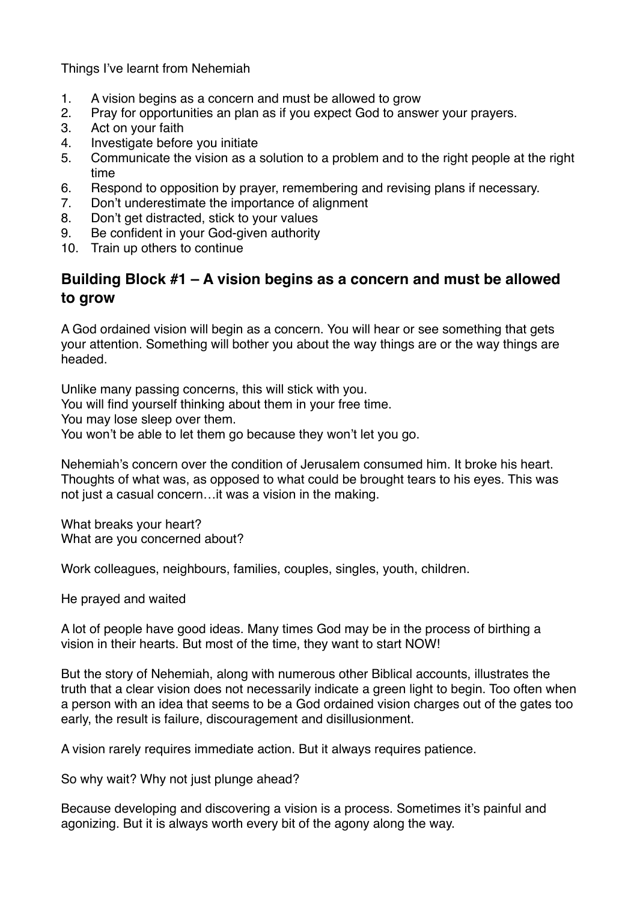Things I've learnt from Nehemiah

- 1. A vision begins as a concern and must be allowed to grow
- 2. Pray for opportunities an plan as if you expect God to answer your prayers.
- 3. Act on your faith
- 4. Investigate before you initiate
- 5. Communicate the vision as a solution to a problem and to the right people at the right time
- 6. Respond to opposition by prayer, remembering and revising plans if necessary.
- 7. Don't underestimate the importance of alignment
- 8. Don't get distracted, stick to your values
- 9. Be confident in your God-given authority
- 10. Train up others to continue

### **Building Block #1 – A vision begins as a concern and must be allowed to grow**

A God ordained vision will begin as a concern. You will hear or see something that gets your attention. Something will bother you about the way things are or the way things are headed.

Unlike many passing concerns, this will stick with you. You will find yourself thinking about them in your free time. You may lose sleep over them. You won't be able to let them go because they won't let you go.

Nehemiah's concern over the condition of Jerusalem consumed him. It broke his heart. Thoughts of what was, as opposed to what could be brought tears to his eyes. This was not just a casual concern…it was a vision in the making.

What breaks your heart? What are you concerned about?

Work colleagues, neighbours, families, couples, singles, youth, children.

He prayed and waited

A lot of people have good ideas. Many times God may be in the process of birthing a vision in their hearts. But most of the time, they want to start NOW!

But the story of Nehemiah, along with numerous other Biblical accounts, illustrates the truth that a clear vision does not necessarily indicate a green light to begin. Too often when a person with an idea that seems to be a God ordained vision charges out of the gates too early, the result is failure, discouragement and disillusionment.

A vision rarely requires immediate action. But it always requires patience.

So why wait? Why not just plunge ahead?

Because developing and discovering a vision is a process. Sometimes it's painful and agonizing. But it is always worth every bit of the agony along the way.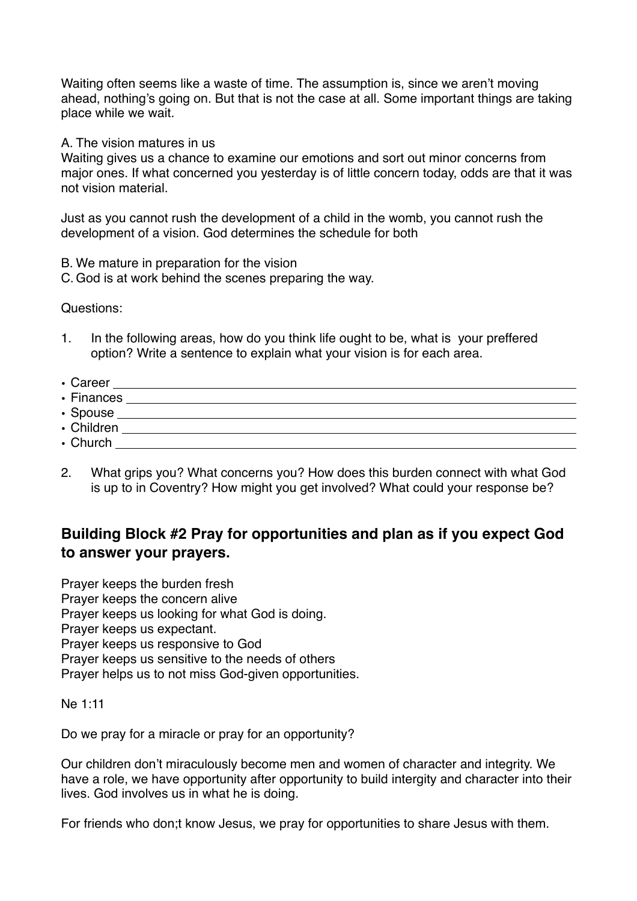Waiting often seems like a waste of time. The assumption is, since we aren't moving ahead, nothing's going on. But that is not the case at all. Some important things are taking place while we wait.

A. The vision matures in us

Waiting gives us a chance to examine our emotions and sort out minor concerns from major ones. If what concerned you yesterday is of little concern today, odds are that it was not vision material.

Just as you cannot rush the development of a child in the womb, you cannot rush the development of a vision. God determines the schedule for both

- B. We mature in preparation for the vision
- C. God is at work behind the scenes preparing the way.

Questions:

- 1. In the following areas, how do you think life ought to be, what is your preffered option? Write a sentence to explain what your vision is for each area.
- Career
- Finances <u>experimental and the set of the set of the set of the set of the set of the set of the set of the set of the set of the set of the set of the set of the set of the set of the set of the set of the set of the se</u>
- Spouse
- Children
- Church
- 2. What grips you? What concerns you? How does this burden connect with what God is up to in Coventry? How might you get involved? What could your response be?

## **Building Block #2 Pray for opportunities and plan as if you expect God to answer your prayers.**

Prayer keeps the burden fresh Prayer keeps the concern alive Prayer keeps us looking for what God is doing. Prayer keeps us expectant. Prayer keeps us responsive to God Prayer keeps us sensitive to the needs of others Prayer helps us to not miss God-given opportunities.

Ne 1:11

Do we pray for a miracle or pray for an opportunity?

Our children don't miraculously become men and women of character and integrity. We have a role, we have opportunity after opportunity to build intergity and character into their lives. God involves us in what he is doing.

For friends who don;t know Jesus, we pray for opportunities to share Jesus with them.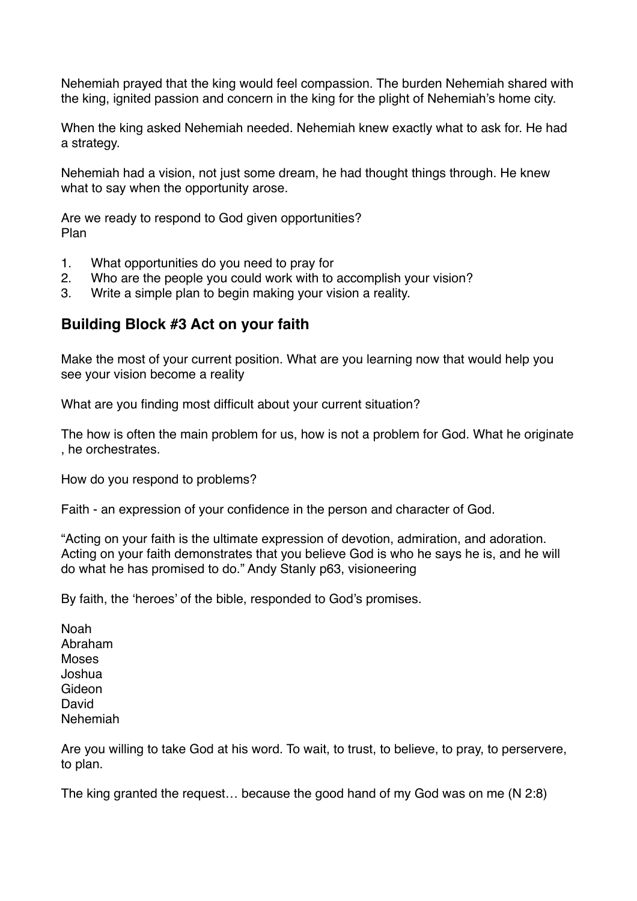Nehemiah prayed that the king would feel compassion. The burden Nehemiah shared with the king, ignited passion and concern in the king for the plight of Nehemiah's home city.

When the king asked Nehemiah needed. Nehemiah knew exactly what to ask for. He had a strategy.

Nehemiah had a vision, not just some dream, he had thought things through. He knew what to say when the opportunity arose.

Are we ready to respond to God given opportunities? Plan

- 1. What opportunities do you need to pray for
- 2. Who are the people you could work with to accomplish your vision?
- 3. Write a simple plan to begin making your vision a reality.

#### **Building Block #3 Act on your faith**

Make the most of your current position. What are you learning now that would help you see your vision become a reality

What are you finding most difficult about your current situation?

The how is often the main problem for us, how is not a problem for God. What he originate , he orchestrates.

How do you respond to problems?

Faith - an expression of your confidence in the person and character of God.

"Acting on your faith is the ultimate expression of devotion, admiration, and adoration. Acting on your faith demonstrates that you believe God is who he says he is, and he will do what he has promised to do." Andy Stanly p63, visioneering

By faith, the 'heroes' of the bible, responded to God's promises.

Noah Abraham Moses Joshua Gideon David Nehemiah

Are you willing to take God at his word. To wait, to trust, to believe, to pray, to perservere, to plan.

The king granted the request… because the good hand of my God was on me (N 2:8)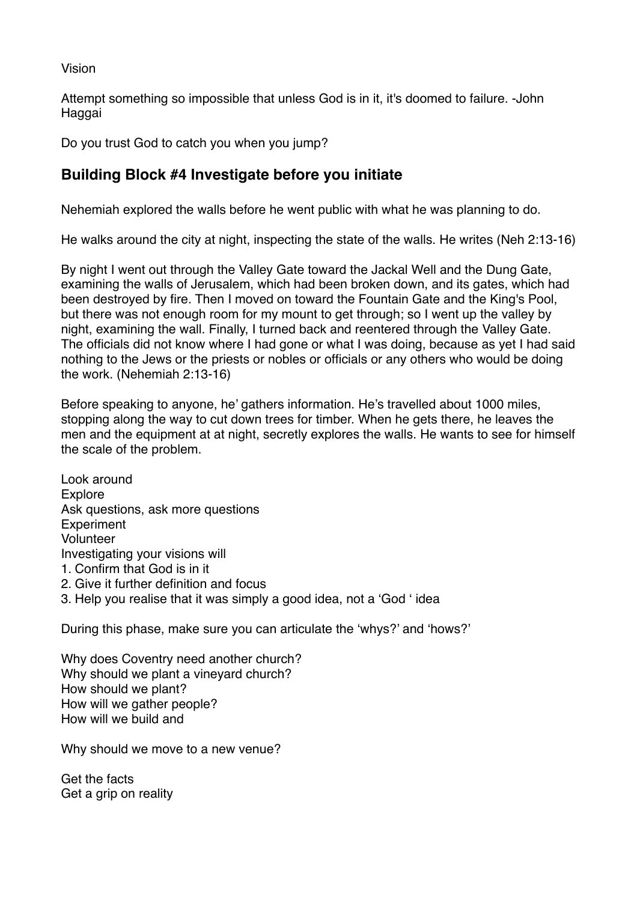Vision

Attempt something so impossible that unless God is in it, it's doomed to failure. -John Haggai

Do you trust God to catch you when you jump?

# **Building Block #4 Investigate before you initiate**

Nehemiah explored the walls before he went public with what he was planning to do.

He walks around the city at night, inspecting the state of the walls. He writes (Neh 2:13-16)

By night I went out through the Valley Gate toward the Jackal Well and the Dung Gate, examining the walls of Jerusalem, which had been broken down, and its gates, which had been destroyed by fire. Then I moved on toward the Fountain Gate and the King's Pool, but there was not enough room for my mount to get through; so I went up the valley by night, examining the wall. Finally, I turned back and reentered through the Valley Gate. The officials did not know where I had gone or what I was doing, because as yet I had said nothing to the Jews or the priests or nobles or officials or any others who would be doing the work. (Nehemiah 2:13-16)

Before speaking to anyone, he' gathers information. He's travelled about 1000 miles, stopping along the way to cut down trees for timber. When he gets there, he leaves the men and the equipment at at night, secretly explores the walls. He wants to see for himself the scale of the problem.

Look around Explore Ask questions, ask more questions **Experiment** Volunteer Investigating your visions will 1. Confirm that God is in it 2. Give it further definition and focus 3. Help you realise that it was simply a good idea, not a 'God ' idea

During this phase, make sure you can articulate the 'whys?' and 'hows?'

Why does Coventry need another church? Why should we plant a vineyard church? How should we plant? How will we gather people? How will we build and

Why should we move to a new venue?

Get the facts Get a grip on reality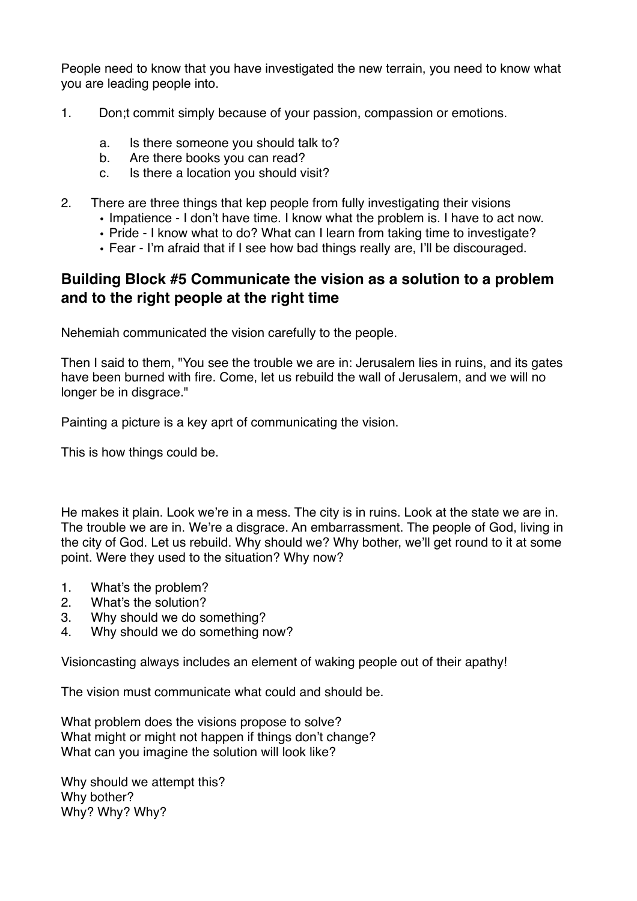People need to know that you have investigated the new terrain, you need to know what you are leading people into.

- 1. Don;t commit simply because of your passion, compassion or emotions.
	- a. Is there someone you should talk to?
	- b. Are there books you can read?
	- c. Is there a location you should visit?
- 2. There are three things that kep people from fully investigating their visions
	- Impatience I don't have time. I know what the problem is. I have to act now.
	- Pride I know what to do? What can I learn from taking time to investigate?
	- Fear I'm afraid that if I see how bad things really are, I'll be discouraged.

### **Building Block #5 Communicate the vision as a solution to a problem and to the right people at the right time**

Nehemiah communicated the vision carefully to the people.

Then I said to them, "You see the trouble we are in: Jerusalem lies in ruins, and its gates have been burned with fire. Come, let us rebuild the wall of Jerusalem, and we will no longer be in disgrace."

Painting a picture is a key aprt of communicating the vision.

This is how things could be.

He makes it plain. Look we're in a mess. The city is in ruins. Look at the state we are in. The trouble we are in. We're a disgrace. An embarrassment. The people of God, living in the city of God. Let us rebuild. Why should we? Why bother, we'll get round to it at some point. Were they used to the situation? Why now?

- 1. What's the problem?
- 2. What's the solution?
- 3. Why should we do something?
- 4. Why should we do something now?

Visioncasting always includes an element of waking people out of their apathy!

The vision must communicate what could and should be.

What problem does the visions propose to solve? What might or might not happen if things don't change? What can you imagine the solution will look like?

Why should we attempt this? Why bother? Why? Why? Why?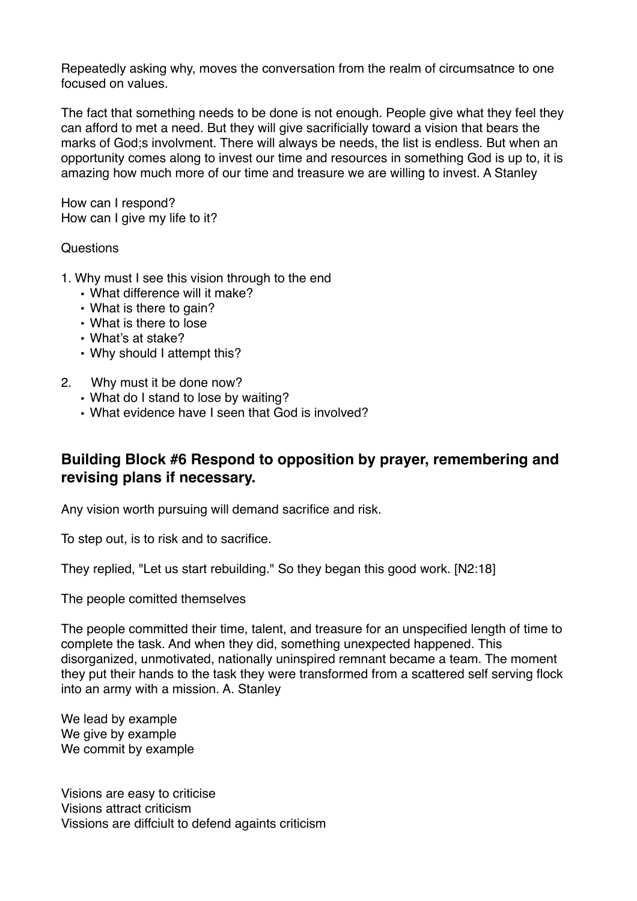Repeatedly asking why, moves the conversation from the realm of circumsatnce to one focused on values.

The fact that something needs to be done is not enough. People give what they feel they can afford to met a need. But they will give sacrificially toward a vision that bears the marks of God;s involvment. There will always be needs, the list is endless. But when an opportunity comes along to invest our time and resources in something God is up to, it is amazing how much more of our time and treasure we are willing to invest. A Stanley

How can I respond? How can I give my life to it?

#### **Questions**

- 1. Why must I see this vision through to the end
	- What difference will it make?
	- What is there to gain?
	- What is there to lose
	- What's at stake?
	- Why should I attempt this?

#### 2. Why must it be done now?

- What do I stand to lose by waiting?
- What evidence have I seen that God is involved?

## **Building Block #6 Respond to opposition by prayer, remembering and revising plans if necessary.**

Any vision worth pursuing will demand sacrifice and risk.

To step out, is to risk and to sacrifice.

They replied, "Let us start rebuilding." So they began this good work. [N2:18]

The people comitted themselves

The people committed their time, talent, and treasure for an unspecified length of time to complete the task. And when they did, something unexpected happened. This disorganized, unmotivated, nationally uninspired remnant became a team. The moment they put their hands to the task they were transformed from a scattered self serving flock into an army with a mission. A. Stanley

We lead by example We give by example We commit by example

Visions are easy to criticise Visions attract criticism Vissions are diffciult to defend againts criticism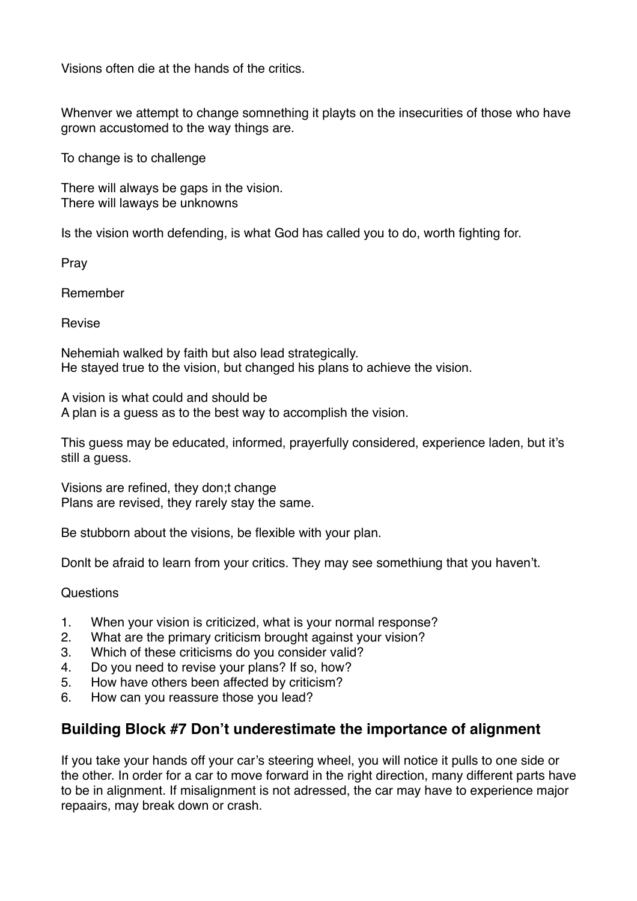Visions often die at the hands of the critics.

Whenver we attempt to change somnething it playts on the insecurities of those who have grown accustomed to the way things are.

To change is to challenge

There will always be gaps in the vision. There will laways be unknowns

Is the vision worth defending, is what God has called you to do, worth fighting for.

Pray

Remember

Revise

Nehemiah walked by faith but also lead strategically. He stayed true to the vision, but changed his plans to achieve the vision.

A vision is what could and should be A plan is a guess as to the best way to accomplish the vision.

This guess may be educated, informed, prayerfully considered, experience laden, but it's still a guess.

Visions are refined, they don;t change Plans are revised, they rarely stay the same.

Be stubborn about the visions, be flexible with your plan.

Donlt be afraid to learn from your critics. They may see somethiung that you haven't.

Questions

- 1. When your vision is criticized, what is your normal response?
- 2. What are the primary criticism brought against your vision?
- 3. Which of these criticisms do you consider valid?
- 4. Do you need to revise your plans? If so, how?
- 5. How have others been affected by criticism?
- 6. How can you reassure those you lead?

## **Building Block #7 Don't underestimate the importance of alignment**

If you take your hands off your car's steering wheel, you will notice it pulls to one side or the other. In order for a car to move forward in the right direction, many different parts have to be in alignment. If misalignment is not adressed, the car may have to experience major repaairs, may break down or crash.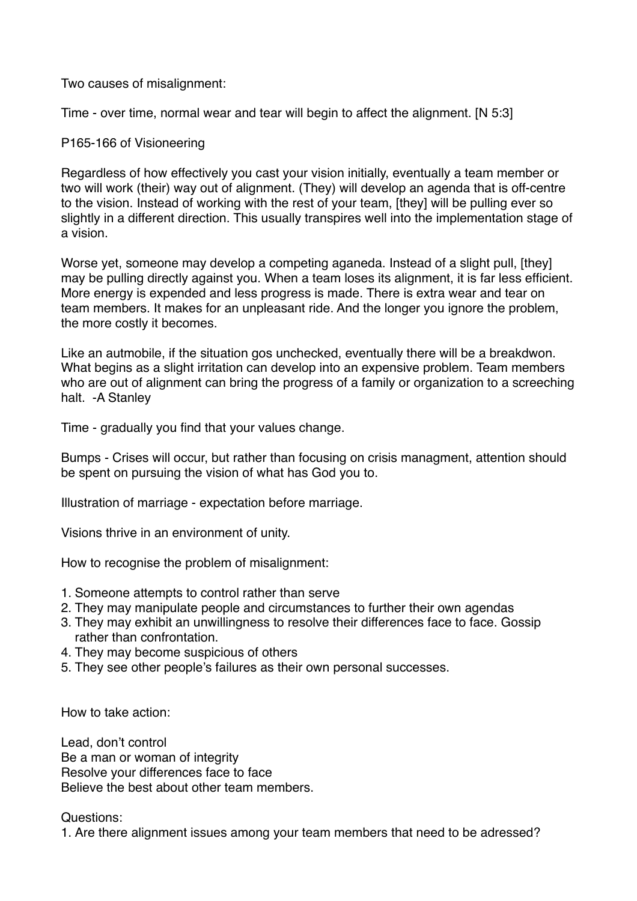Two causes of misalignment:

Time - over time, normal wear and tear will begin to affect the alignment. [N 5:3]

#### P165-166 of Visioneering

Regardless of how effectively you cast your vision initially, eventually a team member or two will work (their) way out of alignment. (They) will develop an agenda that is off-centre to the vision. Instead of working with the rest of your team, [they] will be pulling ever so slightly in a different direction. This usually transpires well into the implementation stage of a vision.

Worse yet, someone may develop a competing aganeda. Instead of a slight pull, [they] may be pulling directly against you. When a team loses its alignment, it is far less efficient. More energy is expended and less progress is made. There is extra wear and tear on team members. It makes for an unpleasant ride. And the longer you ignore the problem, the more costly it becomes.

Like an autmobile, if the situation gos unchecked, eventually there will be a breakdwon. What begins as a slight irritation can develop into an expensive problem. Team members who are out of alignment can bring the progress of a family or organization to a screeching halt. -A Stanley

Time - gradually you find that your values change.

Bumps - Crises will occur, but rather than focusing on crisis managment, attention should be spent on pursuing the vision of what has God you to.

Illustration of marriage - expectation before marriage.

Visions thrive in an environment of unity.

How to recognise the problem of misalignment:

- 1. Someone attempts to control rather than serve
- 2. They may manipulate people and circumstances to further their own agendas
- 3. They may exhibit an unwillingness to resolve their differences face to face. Gossip rather than confrontation.
- 4. They may become suspicious of others
- 5. They see other people's failures as their own personal successes.

How to take action:

Lead, don't control Be a man or woman of integrity Resolve your differences face to face Believe the best about other team members.

Questions:

1. Are there alignment issues among your team members that need to be adressed?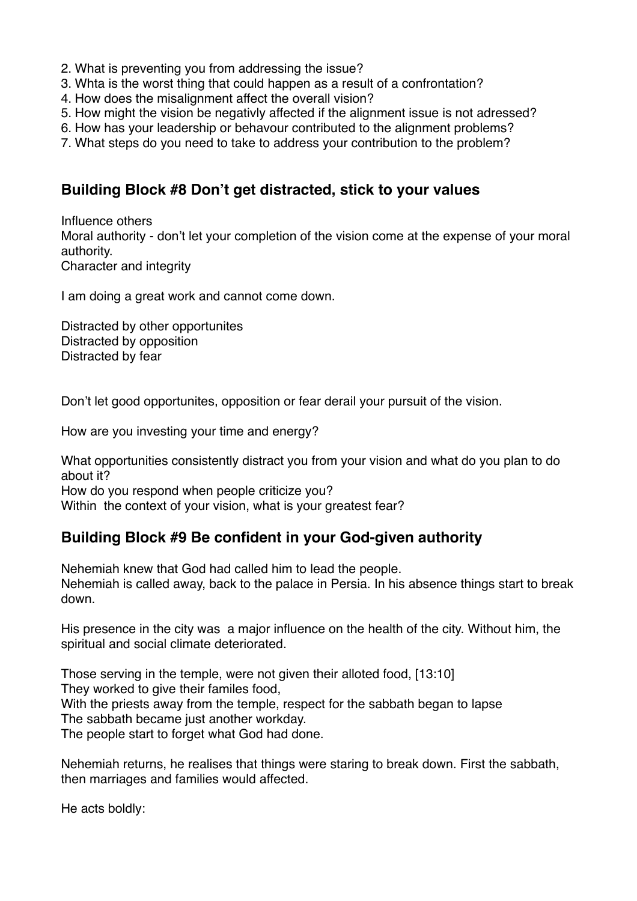- 2. What is preventing you from addressing the issue?
- 3. Whta is the worst thing that could happen as a result of a confrontation?
- 4. How does the misalignment affect the overall vision?
- 5. How might the vision be negativly affected if the alignment issue is not adressed?
- 6. How has your leadership or behavour contributed to the alignment problems?
- 7. What steps do you need to take to address your contribution to the problem?

#### **Building Block #8 Don't get distracted, stick to your values**

Influence others Moral authority - don't let your completion of the vision come at the expense of your moral authority. Character and integrity

I am doing a great work and cannot come down.

Distracted by other opportunites Distracted by opposition Distracted by fear

Don't let good opportunites, opposition or fear derail your pursuit of the vision.

How are you investing your time and energy?

What opportunities consistently distract you from your vision and what do you plan to do about it?

How do you respond when people criticize you?

Within the context of your vision, what is your greatest fear?

#### **Building Block #9 Be confident in your God-given authority**

Nehemiah knew that God had called him to lead the people. Nehemiah is called away, back to the palace in Persia. In his absence things start to break down.

His presence in the city was a major influence on the health of the city. Without him, the spiritual and social climate deteriorated.

Those serving in the temple, were not given their alloted food, [13:10] They worked to give their familes food, With the priests away from the temple, respect for the sabbath began to lapse The sabbath became just another workday. The people start to forget what God had done.

Nehemiah returns, he realises that things were staring to break down. First the sabbath, then marriages and families would affected.

He acts boldly: